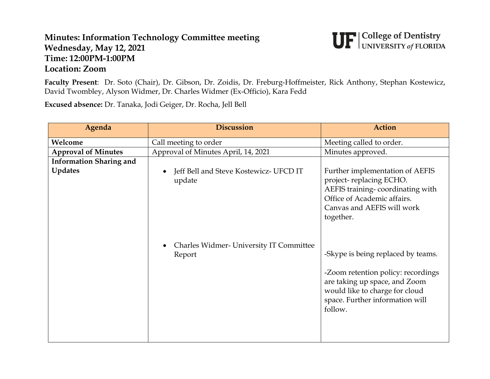## **Minutes: Information Technology Committee meeting Wednesday, May 12, 2021 Time: 12:00PM-1:00PM Location: Zoom**



**Faculty Present**: Dr. Soto (Chair), Dr. Gibson, Dr. Zoidis, Dr. Freburg-Hoffmeister, Rick Anthony, Stephan Kostewicz, David Twombley, Alyson Widmer, Dr. Charles Widmer (Ex-Officio), Kara Fedd

**Excused absence:** Dr. Tanaka, Jodi Geiger, Dr. Rocha, Jell Bell

| Agenda                                           | <b>Discussion</b>                                 | <b>Action</b>                                                                                                                                                                             |
|--------------------------------------------------|---------------------------------------------------|-------------------------------------------------------------------------------------------------------------------------------------------------------------------------------------------|
| Welcome                                          | Call meeting to order                             | Meeting called to order.                                                                                                                                                                  |
| <b>Approval of Minutes</b>                       | Approval of Minutes April, 14, 2021               | Minutes approved.                                                                                                                                                                         |
| <b>Information Sharing and</b><br><b>Updates</b> | Jeff Bell and Steve Kostewicz- UFCD IT<br>update  | Further implementation of AEFIS<br>project-replacing ECHO.<br>AEFIS training-coordinating with                                                                                            |
|                                                  |                                                   | Office of Academic affairs.<br>Canvas and AEFIS will work<br>together.                                                                                                                    |
|                                                  | Charles Widmer- University IT Committee<br>Report | -Skype is being replaced by teams.<br>-Zoom retention policy: recordings<br>are taking up space, and Zoom<br>would like to charge for cloud<br>space. Further information will<br>follow. |